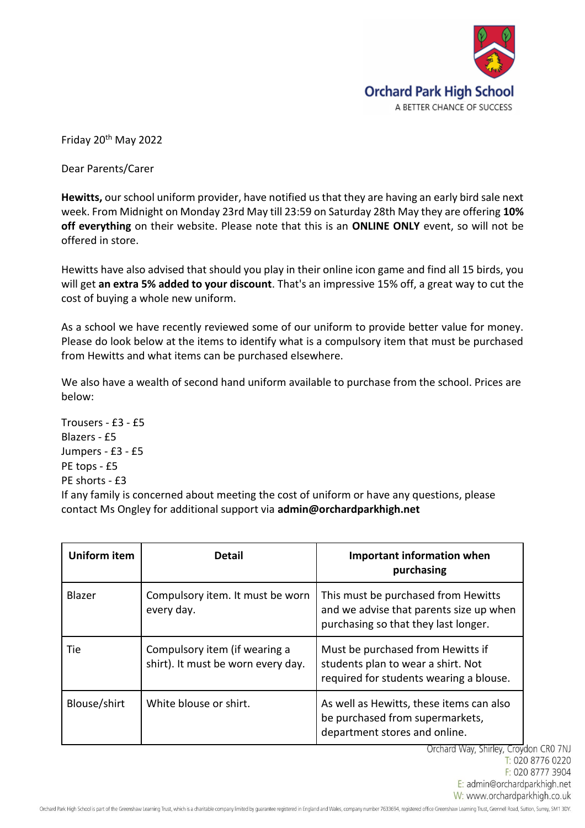

Friday 20th May 2022

Dear Parents/Carer

**Hewitts,** our school uniform provider, have notified us that they are having an early bird sale next week. From Midnight on Monday 23rd May till 23:59 on Saturday 28th May they are offering **10% off everything** on their website. Please note that this is an **ONLINE ONLY** event, so will not be offered in store.

Hewitts have also advised that should you play in their online icon game and find all 15 birds, you will get **an extra 5% added to your discount**. That's an impressive 15% off, a great way to cut the cost of buying a whole new uniform.

As a school we have recently reviewed some of our uniform to provide better value for money. Please do look below at the items to identify what is a compulsory item that must be purchased from Hewitts and what items can be purchased elsewhere.

We also have a wealth of second hand uniform available to purchase from the school. Prices are below:

Trousers - £3 - £5 Blazers - £5 Jumpers - £3 - £5 PE tops - £5 PE shorts - £3 If any family is concerned about meeting the cost of uniform or have any questions, please contact Ms Ongley for additional support via **admin@orchardparkhigh.net**

| <b>Uniform item</b> | <b>Detail</b>                                                       | Important information when<br>purchasing                                                                               |
|---------------------|---------------------------------------------------------------------|------------------------------------------------------------------------------------------------------------------------|
| Blazer              | Compulsory item. It must be worn<br>every day.                      | This must be purchased from Hewitts<br>and we advise that parents size up when<br>purchasing so that they last longer. |
| Tie.                | Compulsory item (if wearing a<br>shirt). It must be worn every day. | Must be purchased from Hewitts if<br>students plan to wear a shirt. Not<br>required for students wearing a blouse.     |
| Blouse/shirt        | White blouse or shirt.                                              | As well as Hewitts, these items can also<br>be purchased from supermarkets,<br>department stores and online.           |

Orchard Way, Shirley, Croydon CR0 7NJ T: 020 8776 0220 F: 020 8777 3904 E: admin@orchardparkhigh.net W: www.orchardparkhigh.co.uk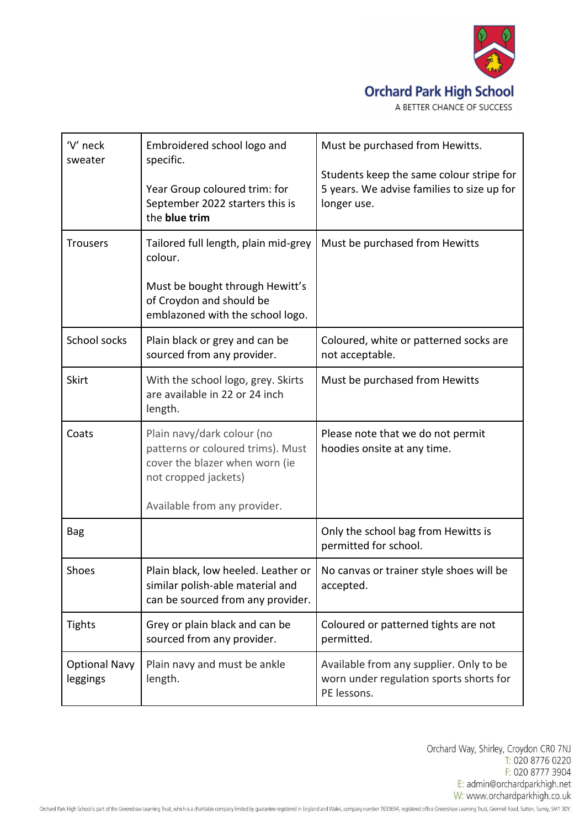

## **Orchard Park High School**

| 'V' neck<br>sweater              | Embroidered school logo and<br>specific.<br>Year Group coloured trim: for<br>September 2022 starters this is<br>the blue trim                             | Must be purchased from Hewitts.<br>Students keep the same colour stripe for<br>5 years. We advise families to size up for<br>longer use. |
|----------------------------------|-----------------------------------------------------------------------------------------------------------------------------------------------------------|------------------------------------------------------------------------------------------------------------------------------------------|
| <b>Trousers</b>                  | Tailored full length, plain mid-grey<br>colour.<br>Must be bought through Hewitt's<br>of Croydon and should be<br>emblazoned with the school logo.        | Must be purchased from Hewitts                                                                                                           |
| School socks                     | Plain black or grey and can be<br>sourced from any provider.                                                                                              | Coloured, white or patterned socks are<br>not acceptable.                                                                                |
| <b>Skirt</b>                     | With the school logo, grey. Skirts<br>are available in 22 or 24 inch<br>length.                                                                           | Must be purchased from Hewitts                                                                                                           |
| Coats                            | Plain navy/dark colour (no<br>patterns or coloured trims). Must<br>cover the blazer when worn (ie<br>not cropped jackets)<br>Available from any provider. | Please note that we do not permit<br>hoodies onsite at any time.                                                                         |
| <b>Bag</b>                       |                                                                                                                                                           | Only the school bag from Hewitts is<br>permitted for school.                                                                             |
| Shoes                            | similar polish-able material and<br>can be sourced from any provider.                                                                                     | Plain black, low heeled. Leather or   No canvas or trainer style shoes will be<br>accepted.                                              |
| <b>Tights</b>                    | Grey or plain black and can be<br>sourced from any provider.                                                                                              | Coloured or patterned tights are not<br>permitted.                                                                                       |
| <b>Optional Navy</b><br>leggings | Plain navy and must be ankle<br>length.                                                                                                                   | Available from any supplier. Only to be<br>worn under regulation sports shorts for<br>PE lessons.                                        |